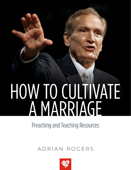# HOW TO CULTIVATE A MARRIAGE

Preaching and Teaching Resources

## ADRIAN ROGERS

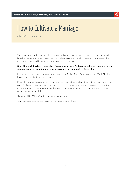

ADRIAN ROGERS

We are grateful for the opportunity to provide this transcript produced from a live sermon preached by Adrian Rogers while serving as pastor of Bellevue Baptist Church in Memphis, Tennessee. This transcript is intended for your personal, non-commercial use.

### **Note: Though it has been transcribed from a version used for broadcast, it may contain stutters, stammers, and other authentic remarks as would be common in a live setting.**

In order to ensure our ability to be good stewards of Adrian Rogers' messages, Love Worth Finding has reserved all rights to this content.

Except for your personal, non-commercial use and except for brief quotations in printed reviews, no part of this publication may be reproduced, stored in a retrieval system, or transmitted in any form or by any means—electronic, mechanical, photocopy, recording, or any other—without the prior permission of the publisher.

Copyright © 2022 Love Worth Finding Ministries, Inc.

Transcripts are used by permission of the Rogers Family Trust.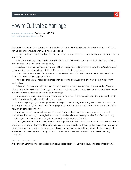

**SERMON REFERENCE:** Ephesians 5:23-33 **LWF SERMON NUMBER:** #1954

Adrian Rogers says, "We can never be over those things that God wants to be under us -- until we get under those things that God has put over us."

In order to learn how to cultivate a marriage and a healthy home, we must first understand godly authority.

Ephesians 5:23 says, "For the husband is the head of the wife, even as Christ is the head of the church: and He is the Savior of the body."

This does not mean wives are inferior to their husbands; in Christ, we're equal. But God created us to meet different needs and fulfill different roles within the home.

When the Bible speaks of the husband being the head of the home, it is not speaking of his rights; it speaks of his responsibilities.

There are three major responsibilities that deal with the husband, the first being his servant leadership.

Ephesians 5 does not call the husband a dictator. Rather, we are given the example of Jesus Christ, who is head of the Church, yet serves her and meets her needs. We are to meet the needs of our wives, who submit to our servant leadership.

Husbands are also responsible for sacrificial love, which is first passionate. It is a commitment that comes from the deepest part of our being.

It is also a purifying love, as Ephesian 5:26 says: "That he might sanctify and cleanse it with the washing of water by the word... not having spot, or wrinkle, or any such thing; but that it should be holy and without blemish."

Husbands are to express their love through their protection. If the enemy wants to attack our homes, he has to go through the husband. Husbands are also responsible for offering loving provision, to meet our family's physical, spiritual, and emotional needs.

Finally, husbands are responsible for showing steadfast loyalty. Jesus promised to never leave nor forsake His church. (Hebrews 13:5) Likewise, we are responsible for keeping the vows we made when we entered our marriage covenant. If we think of marriage as a contract, we will look for loopholes, and miss the blessing that it truly is. But if viewed as a covenant, we will cultivate something beautiful.

## **LIFE APPLICATION**

Are you cultivating a marriage based on servant leadership, sacrificial love, and steadfast loyalty?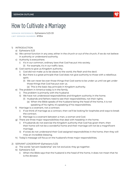

**SERMON REFERENCE:** Ephesians 5:23-33 **LWF SERMON NUMBER:** #1954

- 1) INTRODUCTION
	- a) Ephesians 5:23
	- b) We cannot function in any area, either in the church or out of the church, if we do not believe in authority or understand authority.
	- c) Authority is everywhere.
		- i) It's in our common, ordinary laws that God has put into society.
			- (1) For example, it's in our traffic laws.
	- d) God wants to give us Kingdom authority.
		- i) God did not make us to be slaves to the world, the flesh and the devil.
		- ii) But there is a great principle that God does not give authority to those with a rebellious spirit.
			- (1) We can never be over those things that God wants to be under us until we get under those things that God has put over us.
				- (a) This is the basic key principle in Kingdom authority.
	- e) The problem in America today is in the family.
		- i) The problem is primarily with the husband.
		- ii) We have not understood responsibilities and Kingdom authority in the home.
			- (1) Husbands and fathers need to see their responsibilities, not their rights.
				- (a) When the Bible speaks of the husband being the head of the home, it is not speaking of his rights; it's speaking of his responsibilities.
	- f) Marriage is a covenant, not a contract.
		- i) If we think of marriage as a contract, then we'll be looking for loopholes and ways to break the contract.
		- ii) Marriage is a covenant between a man, a woman and God.
	- g) There are three major responsibilities that deal with headship in the home.
		- i) If husbands do not exercise the Kingdom authority that God has given them, then their home will not be a wonderful home and their marriage will not be a magnificent marriage.
		- ii) If wives do not understand their God-assigned responsibilities in the home, then they will miss an incredible blessing.
	- h) Today's message will focus on the husband's three major responsibilities.
- 2) SERVANT LEADERSHIP (Ephesians 5:23)
	- a) The words "servant leadership" are not exclusive; they go together.
	- b) Ephesians 5:23
		- i) When the Bible says that the husband is the head of the home, it does not mean that he is the dictator.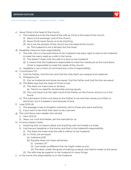

- c) Jesus Christ is the head of the church.
	- i) The husband is to be the head of the wife as Christ is the head of the church.
		- (1) Jesus is the sovereign Lord of the church.
		- (2) Jesus Christ never forces us to do anything.
		- (3) He is not the dictator of the church but the head of the church.
			- (a) The husband is not a dictator but the head.
- d) Headship means to have responsibility.
	- i) The wife, who is to be submissive to her husband, has every right to look to her husband to meet her every need as a wife in the home.
		- (1) This doesn't mean that the wife is to bow to her husband.
		- (2) It means that the husband is responsible to meet her needs just as the Lord Jesus Christ is responsible to meet the needs of the church.
	- ii) Headship is not a chain of command but a line of responsibility.
- e) 1 Corinthians 11:3
	- i) God the Father, God the Son and God the Holy Spirit are coequal and coeternal.
	- ii) Philippians 2:6
		- (1) Just as husbands and wives are equal, God the Father and God the Son are equal.
	- iii) The Bible says that the head of Christ is God.
		- (1) This does not mean boss or dictator.
			- (a) There's no need for dictatorship among equals.
		- (2) The Lord Jesus is at the right hand of the Father on the throne, and so it is in the home.
	- iv) The submission of the Lord Jesus to the Father is not one that comes out of fear or dominion, but it is based in love because of love.
- f) Luke 22:25-26
	- i) This passage is key to Kingdom authority and to those who want authority.
	- ii) If you want to be chief, then learn to be a servant.
- g) The Lord Jesus was a leader who served.
	- i) John 13:13-15
	- ii) Jesus, our Lord and Master, set the example for us.
- h) A home needs a head.
	- i) Anything with no head is dead, and anything with two heads is a freak.
	- ii) God has put headship in the home, and that is the husband's responsibility.
		- (1) This does not mean that the wife is inferior to the husband.
		- (2) In Christ, we are equal.
			- (a) Galatians 3:28
			- (b) Equality does not mean sameness.
				- (i) Genesis 1:27
				- (ii) God made us different that He might make us one.
				- (iii) The devil, under the guise of making us equal, has tried to make us the same.
		- (3) The wife may be superior to her husband in many things.
- i) In the home, the responsibility is on the husband.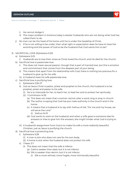

- i) He cannot dodge it.
- ii) The major problem in America today is slacker husbands who are not doing what God has called them to do.
- j) No man can be the head of his home until he is under the headship of Christ.
	- i) If he is not willing to be under, then what right or expectation does he have to have the anointing and the power of God to be the husband that God wants him to be?
- 3) SACRIFICIAL LOVE (Ephesians 5:25)
	- a) Ephesians 5:25
		- i) Husbands are to love their wives as Christ loved the church, and He died for the church.
	- b) Sacrificial love is passionate love.
		- i) This does not mean sexual passion, though that is part of married love, but this is emotion and commitment that comes from the deepest part of your being.
		- ii) This means that apart from his relationship with God, there is nothing too precious for a husband to give up for his wife.
		- iii) A husband owes his wife passionate love.
	- c) Sacrificial love is purifying love.
		- i) Ephesians 5:26-27
		- ii) Just as Jesus Christ is pastor, priest and prophet to the church, the husband is to be prophet, priest and pastor to his wife.
			- (1) He is to intercede for her, to teach her, to lead her and to protect her spiritually.
			- (2) 1 Corinthians 14:35
				- (a) This does not mean that a woman cannot utter a word, sing or pray in church.
				- (b) The author is saying that God has put male authority in the church and in the home.
				- (c) It means that a husband is to say with Joshua of old, "For me and my house, we will serve the Lord."
					- (i) Joshua 24:15
				- (d) God wants to work on the husband; and when a wife goes to someone else for answers or tries to give him the answers, she might hinder what God is trying to do.
		- iii) A husband's assignment from God is to make his wife a more radiantly beautiful Christian, just as Jesus is purifying the church.
	- d) Sacrificial love is protecting love.
		- i) Ephesians 5:28
			- (1) A man is sick who does not care for his own body.
			- (2) A home is sick when the husband does not protect his wife.
		- ii) 1 Peter 3:7
			- (1) This does not mean that the wife is inferior.
				- (a) Gold is weaker than steel, but it is not inferior.
				- (b) Silk is weaker than denim, but it is not inferior.
					- (i) Silk is more refined, more fragile, more intrinsically beautiful.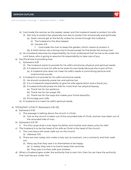

- iii) God made the woman as the weaker vessel, and the husband needs to protect his wife. (1) Not only to protect her physically, but also to protect her emotionally and spiritually.
	- (a) Satan cannot get at the family unless he comes through the husband.
		- (i) The husband is the door keeper.
		- (ii) Genesis 2:15
			- 1. God made the man to keep the garden, which means to protect it.
		- (b) A thief cannot rob a strong man's house except he first binds the strong man.
- iv) As a husband assumes his responsibility, he must understand that he has to be under the Lord Jesus, who is going to assume His responsibility to take care of you.
- e) Sacrificial love is providing love.
	- i) Ephesians 5:29
		- (1) The husband wants to provide for his wife's emotional, physical and spiritual needs.
		- (2) A husband is to love his wife as he loves his own body because she is part of him.
			- (a) A husband who does not meet his wife's needs is committing spiritual and matrimonial suicide.
	- ii) A husband is to provide for his wife's emotional needs:
		- (1) He should constantly praise her and admire her.
		- (2) It is a husband's responsibility to give his wife appreciation and a thank you.
		- (3) A husband should praise his wife for more than her physical beauty.
			- (a) Thank her for her patience.
			- (b) Thank her for her prayer life.
			- (c) Thank her for the ways she makes your home beautiful.
		- (4) Encourage your wife.
	- iii) A husband is to meet his wife's spiritual needs.
- 4) STEADFAST LOYALTY (Ephesians 5:30-33)
	- a) Ephesians 5:30
		- i) This passage is talking about the church in Christ.
			- (1) Just as the church is taken out of the wounded side of Christ, woman was taken out of the wounded side of man.
	- b) Ephesians 5:31-33
		- i) "For this cause shall a man leave his father and mother and cleave unto his wife."
	- c) The husband is to be the head of his wife as Christ is the head of the church.
		- i) The Lord Jesus will never walk out on the church.
			- (1) Hebrews 13:5
		- ii) There are men today who make a holy vow (a covenant, not a contract), and then walk out.
			- (1) Many say that they owe it to themselves to be happy.
				- (a) In reality, they owe it to God to keep their promise.
				- (b) They owe it to their wife and children.
	- d) When a husband gets under the authority that is over him, then he can have the authority that God has put under him.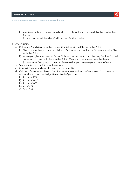

- i) A wife can submit to a man who is willing to die for her and shows it by the way he lives for her.
	- (1) And homes will be what God intended for them to be.
- 5) CONCLUSION
	- a) Ephesians 5 and 6 come in the context that tells us to be filled with the Spirit.
		- i) The only way that you can be this kind of a husband as outlined in Scripture is to be filled with the Spirit.
		- ii) When you give your heart to Jesus Christ and surrender to Him, the Holy Spirit of God will come into you and will give you the Spirit of Jesus so that you can love like Jesus.
			- (1) You must first give your heart to Jesus so that you can give your home to Jesus.
	- b) Jesus wants to come into your heart today.
	- c) Pray to Him now and ask Him to come into your life.
	- d) Call upon Jesus today. Repent (turn) from your sins, and turn to Jesus. Ask Him to forgive you of your sins, and acknowledge Him as Lord of your life.
		- i) Romans 3:23
		- ii) Romans 10:9-10
		- iii) Romans 10:13
		- iv) Acts 16:31
		- v) John 3:16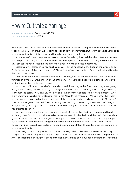

**SERMON REFERENCE:** Ephesians 5:23-33 **LWF SERMON NUMBER:** #1954

Would you take God's Word and find Ephesians chapter 5 please? And just a moment we're going to look at verse 23, and then we're going to look at some more verses. But I want to talk to you about Kingdom Authority and the home and literally, headship in the home.

Now some of us are disappointed in our homes. Somebody has said that the difference between courtship and marriage is the difference between the pictures in the seed catalog and what comes up. Perhaps we need to learn a little bit more about how to cultivate a marriage.

Look if you will please in Ephesians 5 verse 23, "For the husband is the head of the wife, even as Christ is the head of the church, and He," Christ, "is the Savior of the body," and the husband is to be like that to the home.

Now we've been in this series on Kingdom Authority, and we have taught you that you cannot function in any area, in the church or out of the church, if you don't believe in authority and don't understand authority. It's everywhere.

It's in the traffic laws. I heard of a man who was riding along with a friend and they were going at a good clip. They came to a red light, the light was red, the man went right on through. He said, "Hey, man, be careful. You'll kill us." Well, he said, "Don't worry about it," said, "I have a brother who is a wonderful driver; he never stops for red lights. Never!" The man said, "Well, alright." Then later on they came to a green light, and the driver of the car slammed on his brakes. He said, "Man you're crazy; that was green." He said, "I know, but my brother might be coming the other way." Can you imagine, can you imagine what life would be like without just the common, ordinary laws that God has put into society?

Now we've been teaching you a principle these last weeks, that God wants to give us Kingdom Authority, that God did not make us to be slaves to the world, the flesh, and the devil. But there is a great principle that God does not give authority to those with a rebellious spirit. And the principle is, we can never be over those things that God wants to be under us until we get under those things that God has put over us. Now we need to understand that. That is the basic key principle in Kingdom Authority.

May I tell you what the problem is in America today? The problem is in the family. And may I sharpen the focus? The problem is primarily with the husband. Stu Weber has said, "The problem in America is failure in the highest office of the land, that office being husband and father." That's the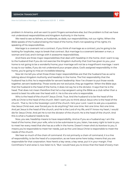#### **SERMON TRANSCRIPT**



problem in America, and we want to point fingers somewhere else, but the problem is that we have not understood responsibilities and Kingdom Authority in the home.

We need to see as fathers, as husbands, as dads, our responsibilities, not our rights. When the Bible speaks of the husband being the head of the home, that's not speaking of his rights; it's speaking of his responsibilities.

Marriage is a covenant not a contract. If you think of marriage as a contract, you're going to be looking for loopholes, ways to break that contract. But marriage is a covenant between a man, a woman and God, and it brings with it awesome responsibilities.

And there are three major responsibilities that deal with headship in the home. And I want to say to the husband that if you do not exercise the Kingdom Authority that God has given to you, your home is not going to be a wonderful home; your marriage will not be a magnificent marriage. I want to say to our ladies, if you do not understand your proper place, God's assigned responsibility in the home, you're going to miss an incredible blessing.

Now let me tell you what those three major responsibilities are that the husband has as we're talking about Kingdom Authority and headship in the home. The first responsibility that the husband has is this: he is responsible for servant leadership. Now I've chosen to put those words together, servant leadership. Those words are not exclusive, they go together. When the Bible says that the husband is the head of the home, it does not say he is the dictator. It says that he is the head. That does not mean therefore that he's a top sergeant using the Bible as a club rather than a sword to beat his wife over the head with it. He is the one who is responsible.

Who is the head of the church? Jesus Christ. True. And the husband is to be the head of the wife as Christ is the head of the church. Well I want you to think about Jesus who is the head of the church. That is, He is the Sovereign Lord of the church. He's your Lord. I want to ask you a question. Has Jesus Christ ever, ever forced you to do anything? Not one time. Not one time. Not one time. And yet Jesus is the head of the church, and He is the Lord of my life, and if I know my heart, I would die for Jesus Christ. And yet He is not the dictator of the church; He is the head of the church. And this is what a husband needs to be.

Now, you see, headship means to have responsibility. And so if you as a husband say I am the head of the home, then your wife, who is to be submissive to you, listen, has every right to look to you to meet her every need that she has as a wife in the home. Doesn't mean she's to kowtow to you, it means you're responsible to meet her needs, just as the Lord Jesus Christ is responsible to meet the needs of the church.

We hear so much of the chain of command. It's not primarily a chain of command, it is a line of responsibility, to be the head of a corporation, as we have some here today; means that you are responsible for that corporation. Now here's a key verse, a key verse, put it in your margin. First Corinthians 11 and verse 3, now listen to it, "But I would have you to know that the head of every man

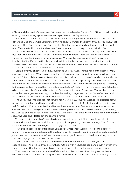

is Christ and the head of the woman is the man, and the head of Christ is God." Now, if you'll put that verse right down along Ephesians 5 verse 23 you'll have it all figured out.

Alright now, listen to what God says. Here's what headship means. Here he speaks of God the Father and God the Son. Do you know anything about Christian theology? If you do, you know that God the Father, God the Son, and God the Holy Spirit are coequal and coeternal. Is that not right? It says of Jesus in Philippians 2 and verse 6, "He thought it not robbery to be equal with God."

Just as husbands and wives are equal, God the Father and God the Son are equal. But the Bible says that, "The head of Christ is God." Does that mean the boss? Does that mean the dictator? There's no need for dictatorship among equals. Where is the Lord Jesus Christ? He is at the right hand of the Father on the throne, and so it is in the home. We need to understand that the submission of the Savior, the Lord Jesus to the Father is not one that comes out of fear or dominion, but it is one that is based in love because of love.

Let me give you another verse now husbands, you say, "Well, I'm the head of the home." Well, good, you ought to be. We're going to explain that in a moment. But put these verses down, Luke chapter 22. And this is absolutely key to Kingdom Authority and to those of you who want authority. Luke 22 verses 25 and 26, "And He said unto them," now Jesus is speaking, "And He said unto them, 'The kings of the Gentiles exercised lordship over them.'" The Gentiles mean the pagans. "'And they that exercise authority upon them are called benefactors.'" Yeah, I'm from the government, I'm here to help you. Now, they're called benefactors. But now notice what Jesus says, "But ye shall not be so, but he that is greatest among you let him be as the younger and he that is chief as he that doth serve." That's the authority, servant leadership. You want to be chief? Learn to be a servant.

The Lord Jesus was a leader that served. John 13 verse 13. Jesus has washed His disciples' feet. I mean, He is their Lord and Master, and He says in verse 13, "Ye call Me Master and Lord and ye say well, for so I am. If I then your Lord and Master have washed your feet ye also ought to wash one another's feet. For I have given you an example that ye should do as I have done unto you." Mister, you want to be head of your home? Wash your wife's feet. That's the way to be the head of the home. Jesus, the Lord and Master, set the example for us.

You see, what is headship? Headship is responsibility assumed. Not primarily a chain of command, it is a line of responsibility. And you stick out your big chest and you say, "Well I'm the head of the home. I know my rights." You may get in trouble.

Marriage rights are like traffic rights. Somebody wrote these words, "Here lies the body of Benjamin May, who died defending the right of way. He was right, dead right as he sped along, but just as dead as if he were wrong." Now, Mister, you can get in serious trouble just sticking out your chest and saying, "I am the head of the home."

Now a home needs a head. And the Bible says that the husband is the head, he has responsibilities. And I've told you before that anything with no head is dead and anything with two heads is a freak. God has put headship in the home and that is the husband's responsibility.

That does not mean at all that the wife is inferior to the husband. Everybody knows that a woman is superior to a man at being a woman. And a man is superior to a woman at being a man.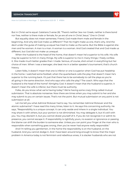#### **SERMON TRANSCRIPT**



But in Christ we're equal. Galatians 3 verse 28, "There's neither Jew nor Greek, neither is there bond nor free, neither is there male or female, for ye are all one in Christ Jesus." One in Christ!

But equality does not mean sameness. Friend, God made them male and female in the beginning. And why did God make us different? That He might make us one, that's why. And the devil under the guise of making us equal has tried to make us the same. But the Bible is against shemen and he-women. A man is a man. A woman is a woman. And God created that and God made us different, but God did not make us unequal.

When the husband is the head of the home, that doesn't mean he's superior to his wife. His wife may be superior to him in many things. My wife is superior to me in many things; I freely confess it. She made much better grades than I made. Serious, of course, she's smart in everything but her choice of men. When I was a teenager, she beat me in a better speaker's tournament; that's church history.

Listen folks, it doesn't mean that one is inferior or one is superior when God has put headship in the home. I watched some football, when the quarterback calls the play that doesn't mean he's superior to the running back. It's just that there has to be somebody to call the plays so you're all going in the same direction. And who says who calls the play? The coach. Who says that the husband is the head of the home? Almighty God. It doesn't mean that the husband is superior, it doesn't mean the wife is inferior, but there must be authority.

Folks, do you know what we're having today? We're having some crazy thing called mutual submission. That is absolute nonsense. Now there are times when you may submit to her and she may submit to you on certain issues. That's not the point. But mutual submission on any point is not submission at all.

Let me tell you what Admiral Rickover had to say. You remember Admiral Rickover and the atomic submarine? I have read this many times, listen to it. He says this concerning authority. He says, "Responsibility is a unique concept. It can only reside and inhere in a single individual. You may share it with others, but your portion is not diminished. You may delegate it, but it's still with you. You may disclaim it, but you cannot divest yourself of it. If you do not recognize it or admit its presence, you cannot escape it. If responsibility is rightfully yours, no evasion or ignorance or passing the blame can shift the burden to someone else. Unless you can point your finger at the man who is responsible when something goes wrong, then you've never had anyone really responsible."

And I'm telling you gentlemen, in the home the responsibility is on the husband, on the husband. And you cannot dodge it. And I have been around long enough to know that the major problem in America today is not feminism and rebellious wives, it is slacker husbands who are not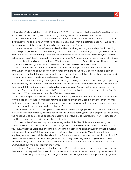

doing what God called them to do. Ephesians 5:23, "For the husband is the head of the wife as Christ is the head of the church," and that is loving, serving leadership. A leader who serves.

But now remember, no man can be the head of his home until he's under the headship of Christ. If he's not willing to be under, what right does he have and what expectation does he have to have the anointing and the power of God to be the husband that God wants him to be?

Here's the second thing he's responsible for. The first thing, serving leadership. Got it? Serving leadership, okay? Here's the second thing: sacrificial love. Now I didn't say just love, I said sacrificial love. I didn't say just leadership, I said serving leadership. What is sacrificial love? Well, how are you to love your wives? Look if you will in Ephesians 5 verse 25, "Husbands, love your wives, as Christ also loved the church, and gave himself for it." That's not mere love, that's sacrificial love. How am I to love Joyce? I am to love Joyce as Jesus loved the church, and He died for the church.

What kind of love is sacrificial love? Well number one, it is passionate love. It is passionate love. When I'm talking about passion, I'm not talking here about sexual passion. That's a part of married love, but I'm talking about something far deeper than that. I'm talking about emotion and commitment that comes from the deepest part of your being.

You are to love sacrificially. That is, there's nothing, nothing too precious for me to give up for my wife, except my relationship with God. Nothing. I'm the pastor of this church, but I wouldn't have to think about it if I had to give up this church or give up Joyce. You can get another pastor. I am her husband. She is my highest love on this Earth apart from the Lord Jesus. Jesus gave Himself up for the church. What does a man owe his wife? Passionate love.

But not only passionate love, purifying love. Look if you will now in Ephesians 5 verses 26 and 27. Why did He do it? "That He might sanctify and cleanse it with the washing of water by the Word; that He might present it to Himself a glorious church, not having spot, or wrinkle, or any such thing; but that it should be holy and without blemish."

Jesus loves the church with a passionate love and with a purifying love. And how is a man to love his wife? What responsibility does he have? Well as Christ is pastor, priest and prophet to the church, the husband is to be prophet, priest and pastor to his wife. He is to intercede for her. He is to teach her. He is to lead her. He is to protect her spiritually.

You know there's something very interesting in the Bible. The Bible says if a woman goes to church and she has some questions, some things about the Bible that she doesn't understand; do you know what the Bible says she is to do? She is to go home and ask her husband what it means. Let me give it to you. Put it in your margin, First Corinthians 14 verse 35, "And if they will learn anything let them ask their husbands at home for it is a shame for women to speak in the church." Doesn't mean they can't utter a peep, doesn't mean they can't sing in the song service, it doesn't mean that they cannot pray. But what he is saying is that God has put male authority in the church and God has put male authority in the home.

That doesn't mean the man is little Lord Haha. But I'll tell you what it does mean; it does mean that a man is to say with Joshua of old in Joshua 24 and verse 15, "As for me and my house, we will serve the Lord." Why did God say, "Go ask your husband?" Well, what would happen today if, if the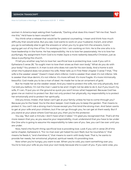

women in America kept asking their husbands, "Darling what does this mean? Tell me that. Teach me this." He'd have to learn wouldn't he?

You think what a release that would be for pastoral counseling. I mean and think how much difficulty that would solve. But you see, God wants to work on your husband, ma'am, and when you go to somebody else to get the answers or when you try to give him the answers, God is saying get out of my line of fire. I'm working on him. I am working on him. He is the one who is to have leadership in the home. He has responsibility. He is to love her passionately. He is to love her purifyingly. My assignment from God is to make Joyce a more radiantly beautiful Christian, just as Jesus is purifying the church.

I'll tell you another way he's to love her: sacrificial love is protecting love. Look if you will in Ephesians 5 verse 28, "So ought men to love their wives as their own body." What do you do with your body? You protect it. A man is sick who does not care for his own body. And a home is sick when the husband does not protect his wife. Peter tells us in First Peter chapter 3 verse 7 that, "The wife is the weaker vessel." Doesn't mean she's inferior. Gold is weaker than steel; it's not inferior. Silk is weaker than blue denim; it's not inferior. It's more refined. It's more fragile. It's more intrinsically beautiful. God made you to be a man of steel. He made her to be an ornament of gold.

But he made her as the weaker vessel. And you need to protect the wife, not only physically. And I've told you before, I'm not the man I used to be and I might not be able to do it, but if you touch my wife, if I can, I'll put you on the ground so quick you won't know what happened. Because God has given me an instinct to protect her. But not only protect her physically, my responsibility is to protect her emotionally and to protect her spiritually.

Did you know, mister, that Satan can't get at your family unless he has to come through you? Because you're the head. You're the door keeper. God made you to keep the garden. That means to protect it. You can't rob a strong man's house except you first bind the strong man. And Satan wants to get at your wife and your children, but if he can go through you, he can get at them easily. But if you stand at your place where God has put you, then you're the protector.

You say, "But wait a minute; I don't have what it takes." I'm glad you recognized that. That's all the more reason that you, as you assume your responsibility, must understand that you have to be under the One who is going to assume His responsibility to take care of you. See, you can't be over until you are under.

Now, here's the fourth thing: sacrificial love is providing love. Look if you will in verse 29 of this same chapter, Ephesians 5, "For no man ever yet hated his own flesh; but he nourishes it," that means he feeds it, "and cherishes it," that means to warm with body heat. That is, he wants to provide her needs, her emotional, physical, spiritual needs. It's providing love.

Now when you're hungry, you want to eat. When you're cold, you want something over you. You're to love your wife as you love your own body because she is a part of you. If you were wise, you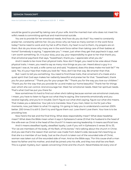

would be good to yourself by taking care of your wife. And the married man who does not meet his wife's needs is committing spiritual and matrimonial suicide.

You are to provide for her emotional needs. And how do you do that? You need to constantly praise her, constantly admire her. Do you know why we have so many women in the work force today? Some need to work and my hat is off to them, my heart is out to them, my prayers are on them. But do you know why many are in the work force rather than taking care of their babies at home? Somebody is saying, "I appreciate you." I mean, just when they get that paycheck it says, well I am worth something. Sir, it is your duty, your joy, your responsibility to give to her that thank you, that emotional paycheck that says, "Sweetheart, thank you. I appreciate what you do."

And it needs to be more than physical traits. Now don't forget, you need to be wise about these physical traits. I mean, you need to say as many nice things as you can. Heard about a guy in a banquet I was at, he said, a wife came out and said, "Husband, does this dress make me look fat?" He said, "No, it's your hips that make you look fat." Now, don't be that way. Be smarter than that.

But I want to tell you something. You need to find those traits, that ornament of a meek and a quiet spirit that God says makes her radiantly beautiful and praise her for that. "Sweetheart, thank you for your patience." "Thank you for your prayer life." "Thank you for the way you love our children." "Thank you for the way that you provide for us and make our home beautiful." Thank her for things over which she can control. And encourage her. Meet her emotional needs. Meet her spiritual needs. That's what God has put you there for.

Now sometimes it's hard to find out when she's talking because women are emotional creatures. I mean, you have to listen to figure out what they're saying. She transmits emotionally and you receive logically, and you're in trouble. Don't figure out what she's saying, figure out what she means. That makes you a detective. Your job is to translate. Now if you men, listen to me for just a few moments, now, just listen to what I'm saying. I'm going to help you to understand a woman 200% better. 200 times 0 is still 0. Don't try and figure them out. Love them! Love them. Your love is to be providing love.

Now here's the last and the final thing. What does responsibility mean? What does headship mean? What does the Bible mean when it says in Ephesians 5 verse 23 that the husband is the head of the wife even as Christ is the head of the church? It means serving leadership. It means sacrificial love.

And it means steadfast loyalty, steadfast loyalty. Look if you will in Ephesians 5 verses 30 to 33, "For we are members of His body, of His flesh, of His bones." He's talking about the church in Christ. And you see that's the reason that woman was made from Adam's side, because He's teaching us that she is a member of our body. Just as the church is taken out of the wounded side of Christ, woman was taken out of the wounded side of man. And so the Bible says, "For this cause shall a man leave his father and his mother, and shall be joined unto his wife, and they two shall be one flesh. This is a great mystery, but I speak concerning Christ and the church. Nevertheless let every one of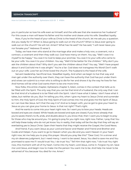#### **SERMON TRANSCRIPT**

#### **How to Cultivate a Marriage** | **Ephesians 5:23-33** | **#1954**

you in particular so love his wife even as himself; and the wife see that she reverence her husband." For this cause a man will leave his father and his mother and cleave unto his wife. Steadfast loyalty.

Now, if you're the head of your wife as Christ is the head of the church, let me ask you a question. Are you ready for it? When is Jesus going to walk out on the church? When is Jesus ever going to walk out on the church? He will not. Amen? What has He said? He has said, "I will never leave you nor forsake you!" Hebrews 13 verse 5.

Today, we have men who stand at the marriage altar and make a holy vow, a covenant, not a contract, a covenant and then they walk out. God have mercy on them. You say, "Well I owe it to myself to be happy." You owe it to God to keep your promise. You owe it to your wife who came to be your wife. You owe it to your children. You say, "Well it'd be better for the children." Why don't you ask the children about that? Why don't you ask the children about that? You say, "Well I have prayed about it and God told me it was alright." You're a liar. God does not transgress His Word! Don't walk out on your wife. Love her as Christ loved the church. The husband is the head of the wife.

Servant leadership. Sacrificial love. Steadfast loyalty. And when we begin to live that way and men get under the authority over them, they can have the authority that God has put under them and wives can submit to a man who is willing to die for her and shows it by the way he lives for her. And homes will be what God wants them to be one more time.

Now folks, this entire chapter, Ephesians chapter 5, listen, comes in the context that tells us to be filled with the Spirit. The only way that you can be that kind of a husband, the only way that I can be that kind of a husband is to be filled with the Spirit. I don't have what it takes. I don't have what it takes, but neither do you. But I'm telling you this, when I give my heart to Jesus Christ and surrender to Him, the Holy Spirit of God, the Holy Spirit of God comes into me and gives me the Spirit of Jesus so I can love like Jesus. Isn't that the way it is? And so to begin with, you've got to give your heart to Jesus so you can give your home to Jesus. Is that not right? That's right.

And He wants to come into your heart right now. So I want you to bow your heads. Heads are bowed and eyes are closed. While heads are bowed and eyes are closed, if you know already that you're saved, there's no ifs, ands, and doubts about it, you know that, then I want you to begin to pray for those who may be around you. I'm going to pray for you right now, right now. Father, I pray that You will help these today who do not yet know You in reality, that today will be the day that they will say an everlasting yes to Jesus Christ. Open their hearts that they might receive the Gospel, the Good News.

And friend, if you want Jesus as your Lord and Savior and Master and Friend and Brother and Guide and Helper, if you want to go to Heaven when you die and you want Heaven in your heart right now, let me help you to pray this prayer. Would you pray like this? "Dear God, I'm a sinner and my sin deserves judgment, but I need mercy. I want to be saved. Jesus, You died to save me and You promised to save me if I would trust You. I do trust You." Tell Him that right now, "I do trust You right now, this moment with all of my heart. Come into my heart, Lord Jesus, come in. Forgive my sin. Save me Lord Jesus, and begin now to make me the person You want me to be. And help me never to be ashamed of You because You died for me. Amen."